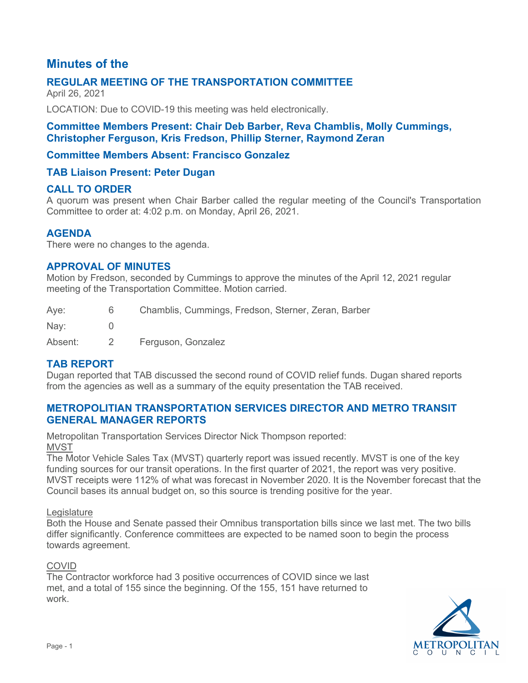# **Minutes of the**

## **REGULAR MEETING OF THE TRANSPORTATION COMMITTEE**

April 26, 2021

LOCATION: Due to COVID-19 this meeting was held electronically.

## **Committee Members Present: Chair Deb Barber, Reva Chamblis, Molly Cummings, Christopher Ferguson, Kris Fredson, Phillip Sterner, Raymond Zeran**

## **Committee Members Absent: Francisco Gonzalez**

### **TAB Liaison Present: Peter Dugan**

### **CALL TO ORDER**

A quorum was present when Chair Barber called the regular meeting of the Council's Transportation Committee to order at: 4:02 p.m. on Monday, April 26, 2021.

### **AGENDA**

There were no changes to the agenda.

### **APPROVAL OF MINUTES**

Motion by Fredson, seconded by Cummings to approve the minutes of the April 12, 2021 regular meeting of the Transportation Committee. Motion carried.

| Aye:         | Chamblis, Cummings, Fredson, Sterner, Zeran, Barber |
|--------------|-----------------------------------------------------|
| Nay:         |                                                     |
| $\mathbf{A}$ |                                                     |

Absent: 2 Ferguson, Gonzalez

## **TAB REPORT**

Dugan reported that TAB discussed the second round of COVID relief funds. Dugan shared reports from the agencies as well as a summary of the equity presentation the TAB received.

## **METROPOLITIAN TRANSPORTATION SERVICES DIRECTOR AND METRO TRANSIT GENERAL MANAGER REPORTS**

Metropolitan Transportation Services Director Nick Thompson reported: **MVST** 

The Motor Vehicle Sales Tax (MVST) quarterly report was issued recently. MVST is one of the key funding sources for our transit operations. In the first quarter of 2021, the report was very positive. MVST receipts were 112% of what was forecast in November 2020. It is the November forecast that the Council bases its annual budget on, so this source is trending positive for the year.

#### **Legislature**

Both the House and Senate passed their Omnibus transportation bills since we last met. The two bills differ significantly. Conference committees are expected to be named soon to begin the process towards agreement.

#### COVID

The Contractor workforce had 3 positive occurrences of COVID since we last met, and a total of 155 since the beginning. Of the 155, 151 have returned to work.

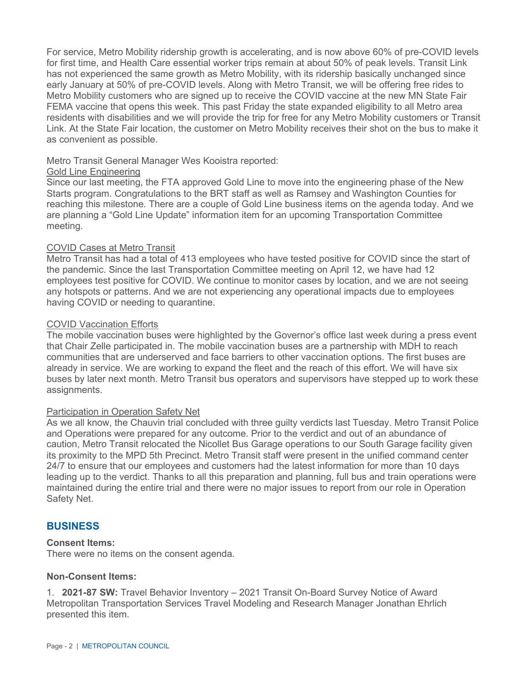For service, Metro Mobility ridership growth is accelerating, and is now above 60% of pre-COVID levels for first time, and Health Care essential worker trips remain at about 50% of peak levels. Transit Link has not experienced the same growth as Metro Mobility, with its ridership basically unchanged since early January at 50% of pre-COVID levels. Along with Metro Transit, we will be offering free rides to Metro Mobility customers who are signed up to receive the COVID vaccine at the new MN State Fair FEMA vaccine that opens this week. This past Friday the state expanded eligibility to all Metro area residents with disabilities and we will provide the trip for free for any Metro Mobility customers or Transit Link. At the State Fair location, the customer on Metro Mobility receives their shot on the bus to make it as convenient as possible.

### Metro Transit General Manager Wes Kooistra reported:

#### Gold Line Engineering

Since our last meeting, the FTA approved Gold Line to move into the engineering phase of the New Starts program. Congratulations to the BRT staff as well as Ramsey and Washington Counties for reaching this milestone. There are a couple of Gold Line business items on the agenda today. And we are planning a "Gold Line Update" information item for an upcoming Transportation Committee meeting.

#### COVID Cases at Metro Transit

Metro Transit has had a total of 413 employees who have tested positive for COVID since the start of the pandemic. Since the last Transportation Committee meeting on April 12, we have had 12 employees test positive for COVID. We continue to monitor cases by location, and we are not seeing any hotspots or patterns. And we are not experiencing any operational impacts due to employees having COVID or needing to quarantine.

#### COVID Vaccination Efforts

The mobile vaccination buses were highlighted by the Governor's office last week during a press event that Chair Zelle participated in. The mobile vaccination buses are a partnership with MDH to reach communities that are underserved and face barriers to other vaccination options. The first buses are already in service. We are working to expand the fleet and the reach of this effort. We will have six buses by later next month. Metro Transit bus operators and supervisors have stepped up to work these assignments.

#### Participation in Operation Safety Net

As we all know, the Chauvin trial concluded with three guilty verdicts last Tuesday. Metro Transit Police and Operations were prepared for any outcome. Prior to the verdict and out of an abundance of caution, Metro Transit relocated the Nicollet Bus Garage operations to our South Garage facility given its proximity to the MPD 5th Precinct. Metro Transit staff were present in the unified command center 24/7 to ensure that our employees and customers had the latest information for more than 10 days leading up to the verdict. Thanks to all this preparation and planning, full bus and train operations were maintained during the entire trial and there were no major issues to report from our role in Operation Safety Net.

### **BUSINESS**

### **Consent Items:**

There were no items on the consent agenda.

#### **Non-Consent Items:**

1. **2021-87 SW:** Travel Behavior Inventory – 2021 Transit On-Board Survey Notice of Award Metropolitan Transportation Services Travel Modeling and Research Manager Jonathan Ehrlich presented this item.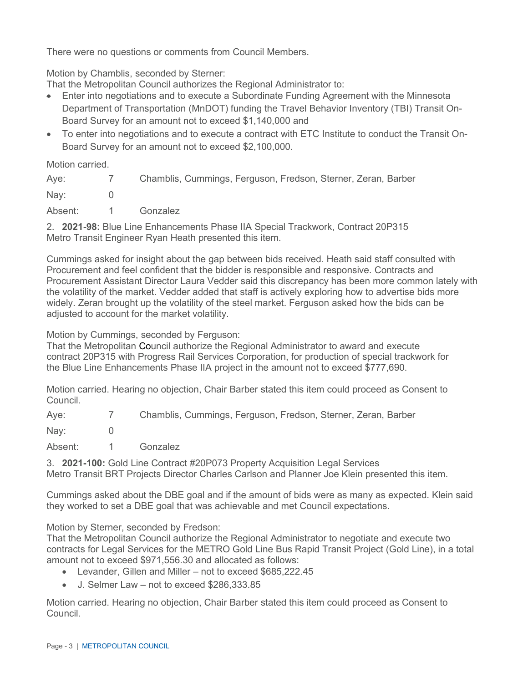There were no questions or comments from Council Members.

Motion by Chamblis, seconded by Sterner:

That the Metropolitan Council authorizes the Regional Administrator to:

- Enter into negotiations and to execute a Subordinate Funding Agreement with the Minnesota Department of Transportation (MnDOT) funding the Travel Behavior Inventory (TBI) Transit On-Board Survey for an amount not to exceed \$1,140,000 and
- To enter into negotiations and to execute a contract with ETC Institute to conduct the Transit On-Board Survey for an amount not to exceed \$2,100,000.

Motion carried.

| Aye:      | $\sqrt{2}$ | Chamblis, Cummings, Ferguson, Fredson, Sterner, Zeran, Barber |
|-----------|------------|---------------------------------------------------------------|
| Nay:      |            |                                                               |
| Absent: 1 |            | Gonzalez                                                      |
| $\sim$    |            | $\sim$ $\sim$ $\sim$ $\sim$ $\sim$ $\sim$<br>$\sim$ $\sim$    |

2. **2021-98:** Blue Line Enhancements Phase IIA Special Trackwork, Contract 20P315 Metro Transit Engineer Ryan Heath presented this item.

Cummings asked for insight about the gap between bids received. Heath said staff consulted with Procurement and feel confident that the bidder is responsible and responsive. Contracts and Procurement Assistant Director Laura Vedder said this discrepancy has been more common lately with the volatility of the market. Vedder added that staff is actively exploring how to advertise bids more widely. Zeran brought up the volatility of the steel market. Ferguson asked how the bids can be adjusted to account for the market volatility.

Motion by Cummings, seconded by Ferguson:

That the Metropolitan Council authorize the Regional Administrator to award and execute contract 20P315 with Progress Rail Services Corporation, for production of special trackwork for the Blue Line Enhancements Phase IIA project in the amount not to exceed \$777,690.

Motion carried. Hearing no objection, Chair Barber stated this item could proceed as Consent to Council.

Aye: 7 Chamblis, Cummings, Ferguson, Fredson, Sterner, Zeran, Barber Nav: 0

Absent: 1 Gonzalez

3. **2021-100:** Gold Line Contract #20P073 Property Acquisition Legal Services Metro Transit BRT Projects Director Charles Carlson and Planner Joe Klein presented this item.

Cummings asked about the DBE goal and if the amount of bids were as many as expected. Klein said they worked to set a DBE goal that was achievable and met Council expectations.

Motion by Sterner, seconded by Fredson:

That the Metropolitan Council authorize the Regional Administrator to negotiate and execute two contracts for Legal Services for the METRO Gold Line Bus Rapid Transit Project (Gold Line), in a total amount not to exceed \$971,556.30 and allocated as follows:

- Levander, Gillen and Miller not to exceed \$685,222.45
- J. Selmer Law not to exceed \$286,333.85

Motion carried. Hearing no objection, Chair Barber stated this item could proceed as Consent to Council.